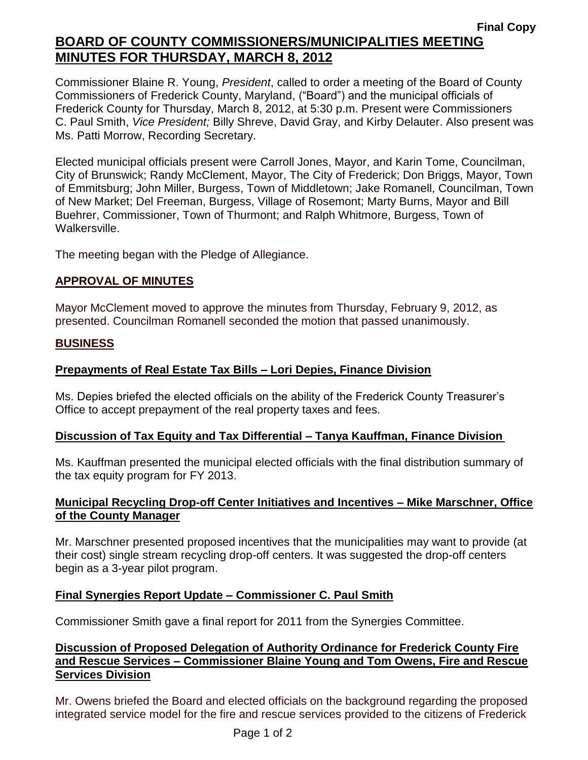# **Final Copy BOARD OF COUNTY COMMISSIONERS/MUNICIPALITIES MEETING MINUTES FOR THURSDAY, MARCH 8, 2012**

Commissioner Blaine R. Young, *President*, called to order a meeting of the Board of County Commissioners of Frederick County, Maryland, ("Board") and the municipal officials of Frederick County for Thursday, March 8, 2012, at 5:30 p.m. Present were Commissioners C. Paul Smith, *Vice President;* Billy Shreve, David Gray, and Kirby Delauter. Also present was Ms. Patti Morrow, Recording Secretary.

Elected municipal officials present were Carroll Jones, Mayor, and Karin Tome, Councilman, City of Brunswick; Randy McClement, Mayor, The City of Frederick; Don Briggs, Mayor, Town of Emmitsburg; John Miller, Burgess, Town of Middletown; Jake Romanell, Councilman, Town of New Market; Del Freeman, Burgess, Village of Rosemont; Marty Burns, Mayor and Bill Buehrer, Commissioner, Town of Thurmont; and Ralph Whitmore, Burgess, Town of Walkersville.

The meeting began with the Pledge of Allegiance.

# **APPROVAL OF MINUTES**

Mayor McClement moved to approve the minutes from Thursday, February 9, 2012, as presented. Councilman Romanell seconded the motion that passed unanimously.

#### **BUSINESS**

## **Prepayments of Real Estate Tax Bills – Lori Depies, Finance Division**

Ms. Depies briefed the elected officials on the ability of the Frederick County Treasurer's Office to accept prepayment of the real property taxes and fees.

#### **Discussion of Tax Equity and Tax Differential – Tanya Kauffman, Finance Division**

Ms. Kauffman presented the municipal elected officials with the final distribution summary of the tax equity program for FY 2013.

## **Municipal Recycling Drop-off Center Initiatives and Incentives – Mike Marschner, Office of the County Manager**

Mr. Marschner presented proposed incentives that the municipalities may want to provide (at their cost) single stream recycling drop-off centers. It was suggested the drop-off centers begin as a 3-year pilot program.

#### **Final Synergies Report Update – Commissioner C. Paul Smith**

Commissioner Smith gave a final report for 2011 from the Synergies Committee.

## **Discussion of Proposed Delegation of Authority Ordinance for Frederick County Fire and Rescue Services – Commissioner Blaine Young and Tom Owens, Fire and Rescue Services Division**

Mr. Owens briefed the Board and elected officials on the background regarding the proposed integrated service model for the fire and rescue services provided to the citizens of Frederick